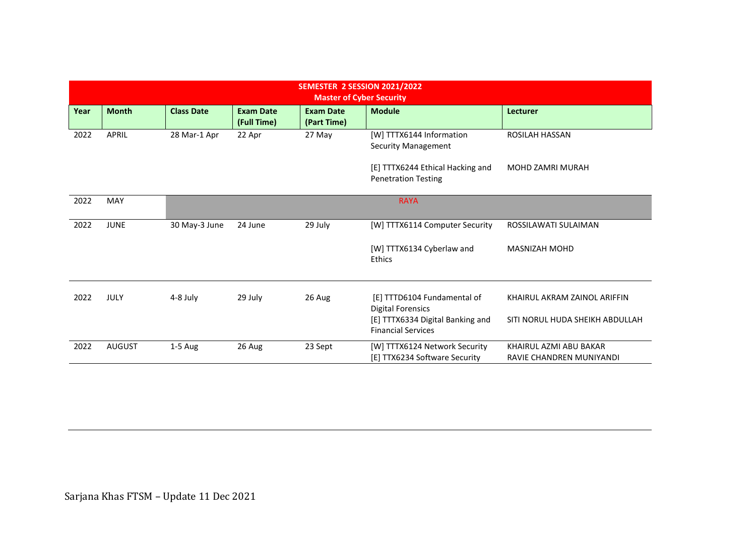| SEMESTER 2 SESSION 2021/2022<br><b>Master of Cyber Security</b> |               |                   |                                 |                                 |                                                                |                                                    |  |  |  |  |
|-----------------------------------------------------------------|---------------|-------------------|---------------------------------|---------------------------------|----------------------------------------------------------------|----------------------------------------------------|--|--|--|--|
| Year                                                            | <b>Month</b>  | <b>Class Date</b> | <b>Exam Date</b><br>(Full Time) | <b>Exam Date</b><br>(Part Time) | <b>Module</b>                                                  | <b>Lecturer</b>                                    |  |  |  |  |
| 2022                                                            | APRIL         | 28 Mar-1 Apr      | 22 Apr                          | 27 May                          | [W] TTTX6144 Information<br><b>Security Management</b>         | <b>ROSILAH HASSAN</b>                              |  |  |  |  |
|                                                                 |               |                   |                                 |                                 | [E] TTTX6244 Ethical Hacking and<br><b>Penetration Testing</b> | <b>MOHD ZAMRI MURAH</b>                            |  |  |  |  |
| 2022                                                            | MAY           |                   |                                 |                                 | <b>RAYA</b>                                                    |                                                    |  |  |  |  |
| 2022                                                            | <b>JUNE</b>   | 30 May-3 June     | 24 June                         | 29 July                         | [W] TTTX6114 Computer Security                                 | ROSSILAWATI SULAIMAN                               |  |  |  |  |
|                                                                 |               |                   |                                 |                                 | [W] TTTX6134 Cyberlaw and<br>Ethics                            | MASNIZAH MOHD                                      |  |  |  |  |
| 2022                                                            | JULY          | 4-8 July          | 29 July                         | 26 Aug                          | [E] TTTD6104 Fundamental of<br><b>Digital Forensics</b>        | KHAIRUL AKRAM ZAINOL ARIFFIN                       |  |  |  |  |
|                                                                 |               |                   |                                 |                                 | [E] TTTX6334 Digital Banking and<br><b>Financial Services</b>  | SITI NORUL HUDA SHEIKH ABDULLAH                    |  |  |  |  |
| 2022                                                            | <b>AUGUST</b> | $1-5$ Aug         | 26 Aug                          | 23 Sept                         | [W] TTTX6124 Network Security<br>[E] TTX6234 Software Security | KHAIRUL AZMI ABU BAKAR<br>RAVIE CHANDREN MUNIYANDI |  |  |  |  |